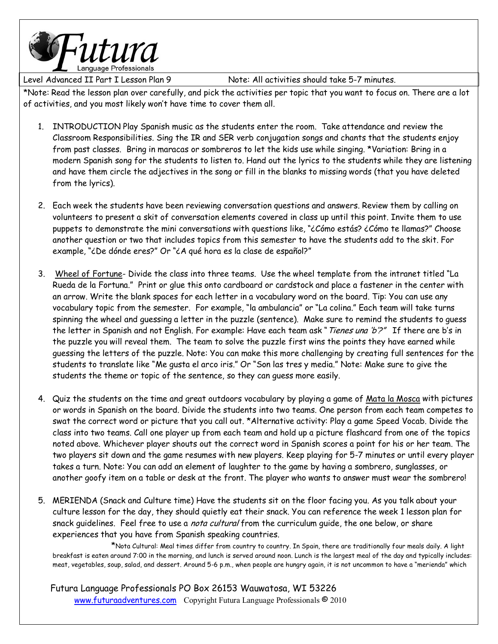

Level Advanced II Part I Lesson Plan 9 Note: All activities should take 5-7 minutes.

\*Note: Read the lesson plan over carefully, and pick the activities per topic that you want to focus on. There are a lot of activities, and you most likely wonít have time to cover them all.

- 1. INTRODUCTION Play Spanish music as the students enter the room. Take attendance and review the Classroom Responsibilities. Sing the IR and SER verb conjugation songs and chants that the students enjoy from past classes. Bring in maracas or sombreros to let the kids use while singing. \*Variation: Bring in a modern Spanish song for the students to listen to. Hand out the lyrics to the students while they are listening and have them circle the adjectives in the song or fill in the blanks to missing words (that you have deleted from the lyrics).
- 2. Each week the students have been reviewing conversation questions and answers. Review them by calling on volunteers to present a skit of conversation elements covered in class up until this point. Invite them to use puppets to demonstrate the mini conversations with questions like, "¿Cómo estás? ¿Cómo te llamas?" Choose another question or two that includes topics from this semester to have the students add to the skit. For example, "¿De dónde eres?" Or "¿A qué hora es la clase de español?"
- 3. Wheel of Fortune- Divide the class into three teams. Use the wheel template from the intranet titled "La Rueda de la Fortuna." Print or glue this onto cardboard or cardstock and place a fastener in the center with an arrow. Write the blank spaces for each letter in a vocabulary word on the board. Tip: You can use any vocabulary topic from the semester. For example, "la ambulancia" or "La colina." Each team will take turns spinning the wheel and guessing a letter in the puzzle (sentence). Make sure to remind the students to guess the letter in Spanish and not English. For example: Have each team ask "Tienes una 'b'?" If there are b's in the puzzle you will reveal them. The team to solve the puzzle first wins the points they have earned while guessing the letters of the puzzle. Note: You can make this more challenging by creating full sentences for the students to translate like "Me gusta el arco iris." Or "Son las tres y media." Note: Make sure to give the students the theme or topic of the sentence, so they can guess more easily.
- 4. Quiz the students on the time and great outdoors vocabulary by playing a game of Mata la Mosca with pictures or words in Spanish on the board. Divide the students into two teams. One person from each team competes to swat the correct word or picture that you call out. \*Alternative activity: Play a game Speed Vocab. Divide the class into two teams. Call one player up from each team and hold up a picture flashcard from one of the topics noted above. Whichever player shouts out the correct word in Spanish scores a point for his or her team. The two players sit down and the game resumes with new players. Keep playing for 5-7 minutes or until every player takes a turn. Note: You can add an element of laughter to the game by having a sombrero, sunglasses, or another goofy item on a table or desk at the front. The player who wants to answer must wear the sombrero!
- 5. MERIENDA (Snack and Culture time) Have the students sit on the floor facing you. As you talk about your culture lesson for the day, they should quietly eat their snack. You can reference the week 1 lesson plan for snack guidelines. Feel free to use a nota cultural from the curriculum guide, the one below, or share experiences that you have from Spanish speaking countries.

 \*Nota Cultural: Meal times differ from country to country. In Spain, there are traditionally four meals daily. A light breakfast is eaten around 7:00 in the morning, and lunch is served around noon. Lunch is the largest meal of the day and typically includes: meat, vegetables, soup, salad, and dessert. Around 5-6 p.m., when people are hungry again, it is not uncommon to have a "merienda" which

 Futura Language Professionals PO Box 26153 Wauwatosa, WI 53226 www.futuraadventures.com Copyright Futura Language Professionals <sup>©</sup> 2010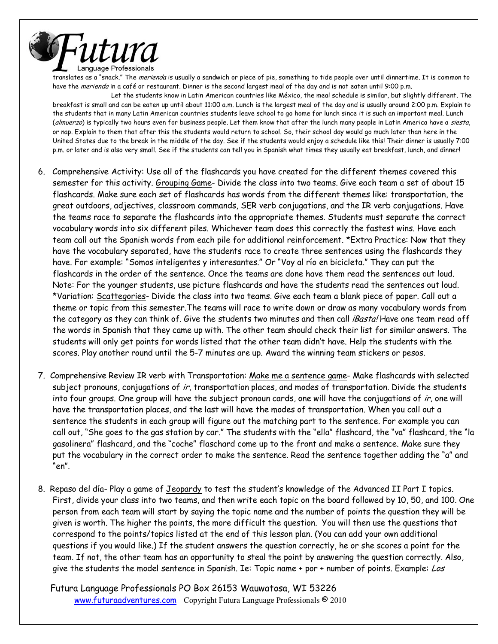

translates as a "snack." The *merienda* is usually a sandwich or piece of pie, something to tide people over until dinnertime. It is common to have the merienda in a café or restaurant. Dinner is the second largest meal of the day and is not eaten until 9:00 p.m.

Let the students know in Latin American countries like México, the meal schedule is similar, but slightly different. The breakfast is small and can be eaten up until about 11:00 a.m. Lunch is the largest meal of the day and is usually around 2:00 p.m. Explain to the students that in many Latin American countries students leave school to go home for lunch since it is such an important meal. Lunch (almuerzo) is typically two hours even for business people. Let them know that after the lunch many people in Latin America have a siesta, or nap. Explain to them that after this the students would return to school. So, their school day would go much later than here in the United States due to the break in the middle of the day. See if the students would enjoy a schedule like this! Their dinner is usually 7:00 p.m. or later and is also very small. See if the students can tell you in Spanish what times they usually eat breakfast, lunch, and dinner!

- 6. Comprehensive Activity: Use all of the flashcards you have created for the different themes covered this semester for this activity. Grouping Game- Divide the class into two teams. Give each team a set of about 15 flashcards. Make sure each set of flashcards has words from the different themes like: transportation, the great outdoors, adjectives, classroom commands, SER verb conjugations, and the IR verb conjugations. Have the teams race to separate the flashcards into the appropriate themes. Students must separate the correct vocabulary words into six different piles. Whichever team does this correctly the fastest wins. Have each team call out the Spanish words from each pile for additional reinforcement. \*Extra Practice: Now that they have the vocabulary separated, have the students race to create three sentences using the flashcards they have. For example: "Somos inteligentes y interesantes." Or "Voy al río en bicicleta." They can put the flashcards in the order of the sentence. Once the teams are done have them read the sentences out loud. Note: For the younger students, use picture flashcards and have the students read the sentences out loud. \*Variation: Scattegories- Divide the class into two teams. Give each team a blank piece of paper. Call out a theme or topic from this semester.The teams will race to write down or draw as many vocabulary words from the category as they can think of. Give the students two minutes and then call *Basta!* Have one team read off the words in Spanish that they came up with. The other team should check their list for similar answers. The students will only get points for words listed that the other team didnít have. Help the students with the scores. Play another round until the 5-7 minutes are up. Award the winning team stickers or pesos.
- 7. Comprehensive Review IR verb with Transportation: Make me a sentence game- Make flashcards with selected subject pronouns, conjugations of ir, transportation places, and modes of transportation. Divide the students into four groups. One group will have the subject pronoun cards, one will have the conjugations of ir, one will have the transportation places, and the last will have the modes of transportation. When you call out a sentence the students in each group will figure out the matching part to the sentence. For example you can call out, "She goes to the gas station by car." The students with the "ella" flashcard, the "va" flashcard, the "la gasolinera" flashcard, and the "coche" flaschard come up to the front and make a sentence. Make sure they put the vocabulary in the correct order to make the sentence. Read the sentence together adding the "a" and "en".
- 8. Repaso del día- Play a game of Jeopardy to test the student's knowledge of the Advanced II Part I topics. First, divide your class into two teams, and then write each topic on the board followed by 10, 50, and 100. One person from each team will start by saying the topic name and the number of points the question they will be given is worth. The higher the points, the more difficult the question. You will then use the questions that correspond to the points/topics listed at the end of this lesson plan. (You can add your own additional questions if you would like.) If the student answers the question correctly, he or she scores a point for the team. If not, the other team has an opportunity to steal the point by answering the question correctly. Also, give the students the model sentence in Spanish. Ie: Topic name + por + number of points. Example: Los

 Futura Language Professionals PO Box 26153 Wauwatosa, WI 53226 www.futuraadventures.com Copyright Futura Language Professionals <sup>©</sup> 2010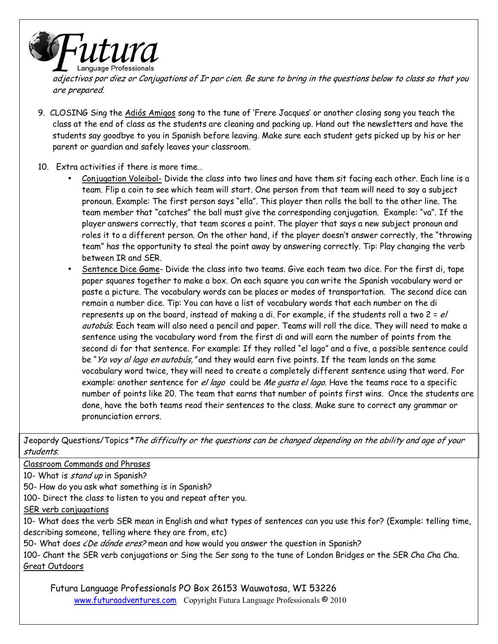

adjectivos por diez or Conjugations of Ir por cien. Be sure to bring in the questions below to class so that you are prepared.

9. CLOSING Sing the Adiós Amigos song to the tune of 'Frere Jacques' or another closing song you teach the class at the end of class as the students are cleaning and packing up. Hand out the newsletters and have the students say goodbye to you in Spanish before leaving. Make sure each student gets picked up by his or her parent or guardian and safely leaves your classroom.

## 10. Extra activities if there is more time...

- Conjugation Voleibol- Divide the class into two lines and have them sit facing each other. Each line is a team. Flip a coin to see which team will start. One person from that team will need to say a subject pronoun. Example: The first person says "ella". This player then rolls the ball to the other line. The team member that "catches" the ball must give the corresponding conjugation. Example: "va". If the player answers correctly, that team scores a point. The player that says a new subject pronoun and roles it to a different person. On the other hand, if the player doesn't answer correctly, the "throwing team" has the opportunity to steal the point away by answering correctly. Tip: Play changing the verb between IR and SER.
- Sentence Dice Game- Divide the class into two teams. Give each team two dice. For the first di, tape paper squares together to make a box. On each square you can write the Spanish vocabulary word or paste a picture. The vocabulary words can be places or modes of transportation. The second dice can remain a number dice. Tip: You can have a list of vocabulary words that each number on the di represents up on the board, instead of making a di. For example, if the students roll a two  $2 = e/$ autobús. Each team will also need a pencil and paper. Teams will roll the dice. They will need to make a sentence using the vocabulary word from the first di and will earn the number of points from the second di for that sentence. For example: If they rolled "el lago" and a five, a possible sentence could be "Yo voy al lago en autobús," and they would earn five points. If the team lands on the same vocabulary word twice, they will need to create a completely different sentence using that word. For example: another sentence for el lago could be Me gusta el lago. Have the teams race to a specific number of points like 20. The team that earns that number of points first wins. Once the students are done, have the both teams read their sentences to the class. Make sure to correct any grammar or pronunciation errors.

Jeopardy Questions/Topics\*The difficulty or the questions can be changed depending on the ability and age of your students.

Classroom Commands and Phrases

10- What is stand up in Spanish?

50- How do you ask what something is in Spanish?

100- Direct the class to listen to you and repeat after you.

SER verb conjugations

10- What does the verb SER mean in English and what types of sentences can you use this for? (Example: telling time, describing someone, telling where they are from, etc)

50- What does ćDe dónde eres? mean and how would you answer the question in Spanish?

100- Chant the SER verb conjugations or Sing the Ser song to the tune of London Bridges or the SER Cha Cha Cha. Great Outdoors

 Futura Language Professionals PO Box 26153 Wauwatosa, WI 53226 www.futuraadventures.com Copyright Futura Language Professionals © 2010